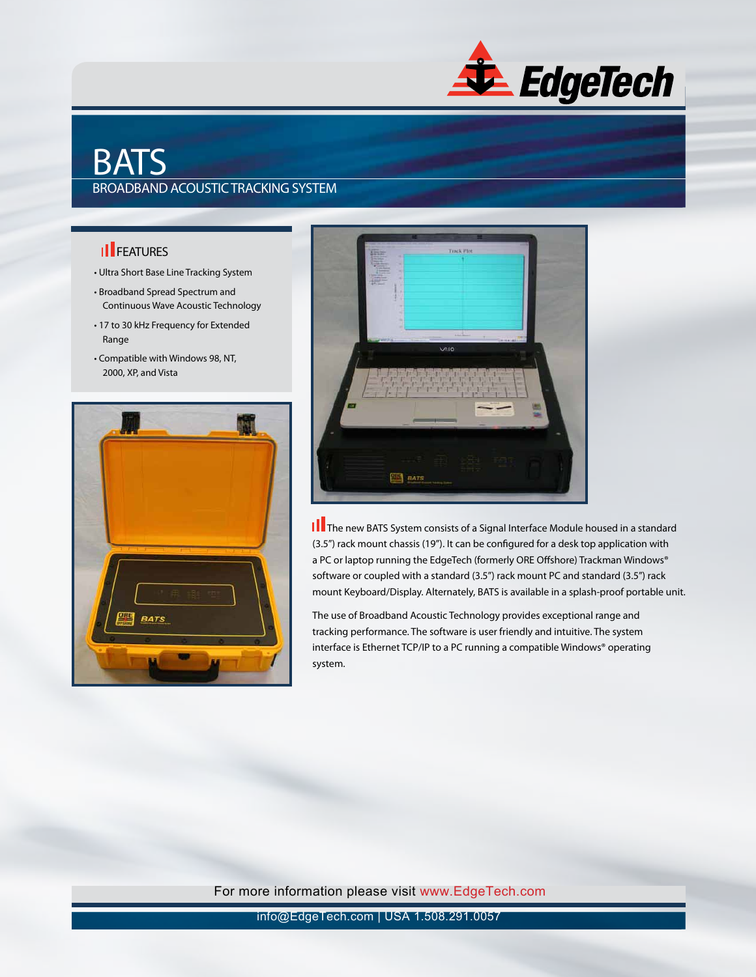

## BATS BROADBAND ACOUSTIC TRACKING SYSTEM

## **II** FEATURES

- Ultra Short Base Line Tracking System
- Broadband Spread Spectrum and Continuous Wave Acoustic Technology
- 17 to 30 kHz Frequency for Extended Range
- Compatible with Windows 98, NT, 2000, XP, and Vista





**III** The new BATS System consists of a Signal Interface Module housed in a standard (3.5") rack mount chassis (19"). It can be configured for a desk top application with a PC or laptop running the EdgeTech (formerly ORE Offshore) Trackman Windows® software or coupled with a standard (3.5") rack mount PC and standard (3.5") rack mount Keyboard/Display. Alternately, BATS is available in a splash-proof portable unit.

The use of Broadband Acoustic Technology provides exceptional range and tracking performance. The software is user friendly and intuitive. The system interface is Ethernet TCP/IP to a PC running a compatible Windows® operating system.

For more information please visit www.EdgeTech.com

info@EdgeTech.com | USA 1.508.291.0057